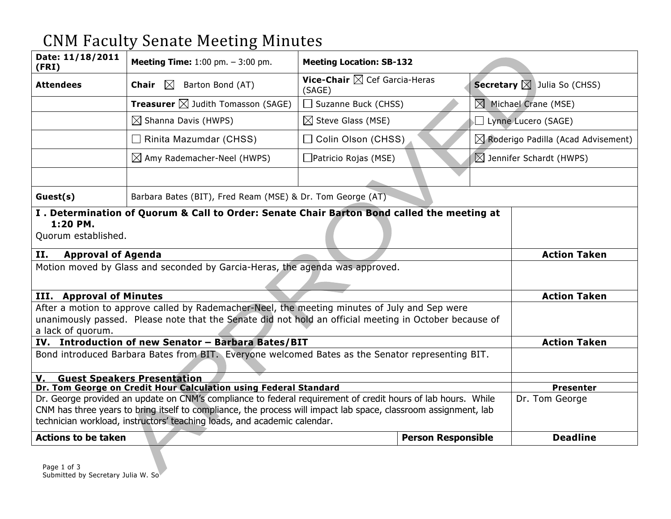## CNM Faculty Senate Meeting Minutes

| Date: 11/18/2011<br>(FRI)                                                                                                                                                                                                    | <b>Meeting Time:</b> $1:00$ pm. $-3:00$ pm.                | <b>Meeting Location: SB-132</b>                   |                           |  |                                                |
|------------------------------------------------------------------------------------------------------------------------------------------------------------------------------------------------------------------------------|------------------------------------------------------------|---------------------------------------------------|---------------------------|--|------------------------------------------------|
| <b>Attendees</b>                                                                                                                                                                                                             | $\boxtimes$<br>Chair<br>Barton Bond (AT)                   | Vice-Chair $\boxtimes$ Cef Garcia-Heras<br>(SAGE) |                           |  | <b>Secretary</b> $\boxtimes$ Julia So (CHSS)   |
|                                                                                                                                                                                                                              | <b>Treasurer</b> $\boxtimes$ Judith Tomasson (SAGE)        | $\Box$ Suzanne Buck (CHSS)                        | $\boxtimes$               |  | Michael Crane (MSE)                            |
|                                                                                                                                                                                                                              | $\boxtimes$ Shanna Davis (HWPS)                            | $\boxtimes$ Steve Glass (MSE)                     |                           |  | Lynne Lucero (SAGE)                            |
|                                                                                                                                                                                                                              | $\Box$ Rinita Mazumdar (CHSS)                              | □ Colin Olson (CHSS)                              |                           |  | $\boxtimes$ Roderigo Padilla (Acad Advisement) |
|                                                                                                                                                                                                                              | $\boxtimes$ Amy Rademacher-Neel (HWPS)                     | $\Box$ Patricio Rojas (MSE)                       |                           |  | $\boxtimes$ Jennifer Schardt (HWPS)            |
|                                                                                                                                                                                                                              |                                                            |                                                   |                           |  |                                                |
| Guest(s)                                                                                                                                                                                                                     | Barbara Bates (BIT), Fred Ream (MSE) & Dr. Tom George (AT) |                                                   |                           |  |                                                |
| I. Determination of Quorum & Call to Order: Senate Chair Barton Bond called the meeting at<br>1:20 PM.<br>Quorum established.                                                                                                |                                                            |                                                   |                           |  |                                                |
| II.<br><b>Approval of Agenda</b><br>Motion moved by Glass and seconded by Garcia-Heras, the agenda was approved.                                                                                                             |                                                            |                                                   |                           |  | <b>Action Taken</b>                            |
|                                                                                                                                                                                                                              |                                                            |                                                   |                           |  |                                                |
| <b>III.</b> Approval of Minutes                                                                                                                                                                                              |                                                            |                                                   |                           |  | <b>Action Taken</b>                            |
| After a motion to approve called by Rademacher-Neel, the meeting minutes of July and Sep were<br>unanimously passed. Please note that the Senate did not hold an official meeting in October because of<br>a lack of quorum. |                                                            |                                                   |                           |  |                                                |
| IV. Introduction of new Senator - Barbara Bates/BIT                                                                                                                                                                          |                                                            |                                                   |                           |  | <b>Action Taken</b>                            |
| Bond introduced Barbara Bates from BIT. Everyone welcomed Bates as the Senator representing BIT.                                                                                                                             |                                                            |                                                   |                           |  |                                                |
| V. Guest Speakers Presentation                                                                                                                                                                                               |                                                            |                                                   |                           |  |                                                |
| Dr. Tom George on Credit Hour Calculation using Federal Standard<br>Dr. George provided an update on CNM's compliance to federal requirement of credit hours of lab hours. While                                             |                                                            |                                                   |                           |  | <b>Presenter</b><br>Dr. Tom George             |
| CNM has three years to bring itself to compliance, the process will impact lab space, classroom assignment, lab                                                                                                              |                                                            |                                                   |                           |  |                                                |
| technician workload, instructors' teaching loads, and academic calendar.                                                                                                                                                     |                                                            |                                                   |                           |  |                                                |
| <b>Actions to be taken</b>                                                                                                                                                                                                   |                                                            |                                                   | <b>Person Responsible</b> |  | <b>Deadline</b>                                |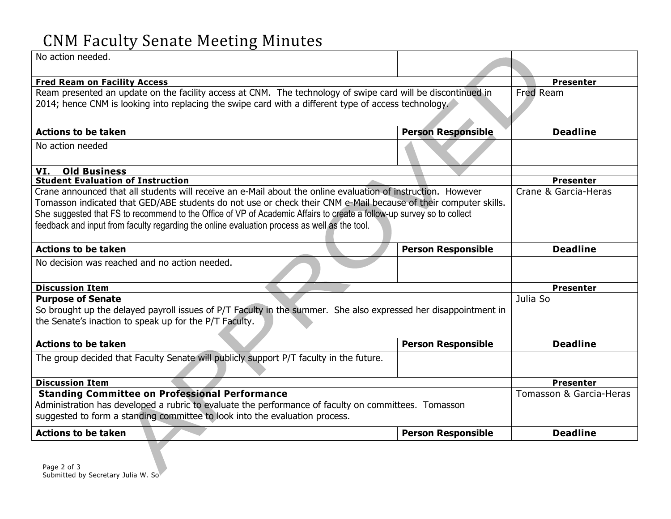## CNM Faculty Senate Meeting Minutes

| No action needed.                                                                                                                                                                                                                                                                                                                                                                                                                                        |                           |                  |
|----------------------------------------------------------------------------------------------------------------------------------------------------------------------------------------------------------------------------------------------------------------------------------------------------------------------------------------------------------------------------------------------------------------------------------------------------------|---------------------------|------------------|
| <b>Fred Ream on Facility Access</b>                                                                                                                                                                                                                                                                                                                                                                                                                      |                           | <b>Presenter</b> |
| Ream presented an update on the facility access at CNM. The technology of swipe card will be discontinued in<br>2014; hence CNM is looking into replacing the swipe card with a different type of access technology.                                                                                                                                                                                                                                     | Fred Ream                 |                  |
| <b>Actions to be taken</b>                                                                                                                                                                                                                                                                                                                                                                                                                               | <b>Person Responsible</b> | <b>Deadline</b>  |
| No action needed                                                                                                                                                                                                                                                                                                                                                                                                                                         |                           |                  |
| VI. Old Business                                                                                                                                                                                                                                                                                                                                                                                                                                         |                           |                  |
| <b>Student Evaluation of Instruction</b>                                                                                                                                                                                                                                                                                                                                                                                                                 |                           | <b>Presenter</b> |
| Crane announced that all students will receive an e-Mail about the online evaluation of instruction. However<br>Tomasson indicated that GED/ABE students do not use or check their CNM e-Mail because of their computer skills.<br>She suggested that FS to recommend to the Office of VP of Academic Affairs to create a follow-up survey so to collect<br>feedback and input from faculty regarding the online evaluation process as well as the tool. | Crane & Garcia-Heras      |                  |
| <b>Actions to be taken</b>                                                                                                                                                                                                                                                                                                                                                                                                                               | <b>Person Responsible</b> | <b>Deadline</b>  |
| No decision was reached and no action needed.                                                                                                                                                                                                                                                                                                                                                                                                            |                           |                  |
| <b>Discussion Item</b>                                                                                                                                                                                                                                                                                                                                                                                                                                   |                           | <b>Presenter</b> |
| <b>Purpose of Senate</b>                                                                                                                                                                                                                                                                                                                                                                                                                                 | Julia So                  |                  |
| So brought up the delayed payroll issues of P/T Faculty in the summer. She also expressed her disappointment in<br>the Senate's inaction to speak up for the P/T Faculty.                                                                                                                                                                                                                                                                                |                           |                  |
| <b>Actions to be taken</b>                                                                                                                                                                                                                                                                                                                                                                                                                               | <b>Person Responsible</b> | <b>Deadline</b>  |
| The group decided that Faculty Senate will publicly support P/T faculty in the future.                                                                                                                                                                                                                                                                                                                                                                   |                           |                  |
| <b>Discussion Item</b>                                                                                                                                                                                                                                                                                                                                                                                                                                   | <b>Presenter</b>          |                  |
| <b>Standing Committee on Professional Performance</b><br>Administration has developed a rubric to evaluate the performance of faculty on committees. Tomasson<br>suggested to form a standing committee to look into the evaluation process.                                                                                                                                                                                                             | Tomasson & Garcia-Heras   |                  |
| <b>Actions to be taken</b>                                                                                                                                                                                                                                                                                                                                                                                                                               | <b>Person Responsible</b> | <b>Deadline</b>  |